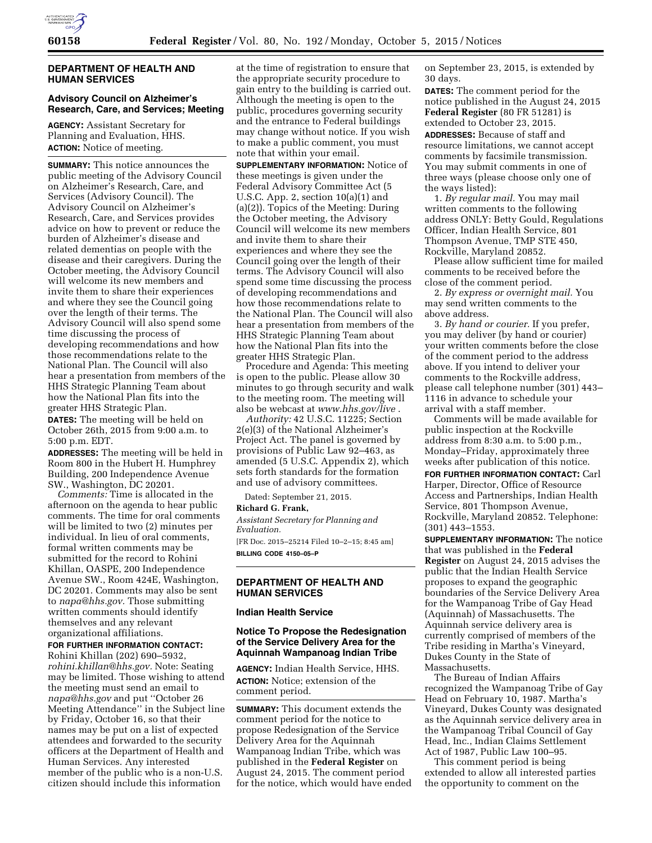### **DEPARTMENT OF HEALTH AND HUMAN SERVICES**

### **Advisory Council on Alzheimer's Research, Care, and Services; Meeting**

**AGENCY:** Assistant Secretary for Planning and Evaluation, HHS. **ACTION:** Notice of meeting.

**SUMMARY:** This notice announces the public meeting of the Advisory Council on Alzheimer's Research, Care, and Services (Advisory Council). The Advisory Council on Alzheimer's Research, Care, and Services provides advice on how to prevent or reduce the burden of Alzheimer's disease and related dementias on people with the disease and their caregivers. During the October meeting, the Advisory Council will welcome its new members and invite them to share their experiences and where they see the Council going over the length of their terms. The Advisory Council will also spend some time discussing the process of developing recommendations and how those recommendations relate to the National Plan. The Council will also hear a presentation from members of the HHS Strategic Planning Team about how the National Plan fits into the greater HHS Strategic Plan. **DATES:** The meeting will be held on

October 26th, 2015 from 9:00 a.m. to 5:00 p.m. EDT.

**ADDRESSES:** The meeting will be held in Room 800 in the Hubert H. Humphrey Building, 200 Independence Avenue SW., Washington, DC 20201.

*Comments:* Time is allocated in the afternoon on the agenda to hear public comments. The time for oral comments will be limited to two (2) minutes per individual. In lieu of oral comments, formal written comments may be submitted for the record to Rohini Khillan, OASPE, 200 Independence Avenue SW., Room 424E, Washington, DC 20201. Comments may also be sent to *[napa@hhs.gov.](mailto:napa@hhs.gov)* Those submitting written comments should identify themselves and any relevant organizational affiliations.

### **FOR FURTHER INFORMATION CONTACT:**

Rohini Khillan (202) 690–5932, *[rohini.khillan@hhs.gov.](mailto:rohini.khillan@hhs.gov)* Note: Seating may be limited. Those wishing to attend the meeting must send an email to *[napa@hhs.gov](mailto:napa@hhs.gov)* and put ''October 26 Meeting Attendance'' in the Subject line by Friday, October 16, so that their names may be put on a list of expected attendees and forwarded to the security officers at the Department of Health and Human Services. Any interested member of the public who is a non-U.S. citizen should include this information

at the time of registration to ensure that the appropriate security procedure to gain entry to the building is carried out. Although the meeting is open to the public, procedures governing security and the entrance to Federal buildings may change without notice. If you wish to make a public comment, you must note that within your email.

**SUPPLEMENTARY INFORMATION:** Notice of these meetings is given under the Federal Advisory Committee Act (5 U.S.C. App. 2, section  $10(a)(1)$  and (a)(2)). Topics of the Meeting: During the October meeting, the Advisory Council will welcome its new members and invite them to share their experiences and where they see the Council going over the length of their terms. The Advisory Council will also spend some time discussing the process of developing recommendations and how those recommendations relate to the National Plan. The Council will also hear a presentation from members of the HHS Strategic Planning Team about how the National Plan fits into the greater HHS Strategic Plan.

Procedure and Agenda: This meeting is open to the public. Please allow 30 minutes to go through security and walk to the meeting room. The meeting will also be webcast at *[www.hhs.gov/live](http://www.hhs.gov/live)* .

*Authority:* 42 U.S.C. 11225; Section 2(e)(3) of the National Alzheimer's Project Act. The panel is governed by provisions of Public Law 92–463, as amended (5 U.S.C. Appendix 2), which sets forth standards for the formation and use of advisory committees.

Dated: September 21, 2015.

#### **Richard G. Frank,**

*Assistant Secretary for Planning and Evaluation.* 

[FR Doc. 2015–25214 Filed 10–2–15; 8:45 am] **BILLING CODE 4150–05–P** 

### **DEPARTMENT OF HEALTH AND HUMAN SERVICES**

#### **Indian Health Service**

### **Notice To Propose the Redesignation of the Service Delivery Area for the Aquinnah Wampanoag Indian Tribe**

**AGENCY:** Indian Health Service, HHS. **ACTION:** Notice; extension of the comment period.

**SUMMARY:** This document extends the comment period for the notice to propose Redesignation of the Service Delivery Area for the Aquinnah Wampanoag Indian Tribe, which was published in the **Federal Register** on August 24, 2015. The comment period for the notice, which would have ended on September 23, 2015, is extended by 30 days.

**DATES:** The comment period for the notice published in the August 24, 2015 **Federal Register** (80 FR 51281) is extended to October 23, 2015.

**ADDRESSES:** Because of staff and resource limitations, we cannot accept comments by facsimile transmission. You may submit comments in one of three ways (please choose only one of the ways listed):

1. *By regular mail.* You may mail written comments to the following address ONLY: Betty Gould, Regulations Officer, Indian Health Service, 801 Thompson Avenue, TMP STE 450, Rockville, Maryland 20852.

Please allow sufficient time for mailed comments to be received before the close of the comment period.

2. *By express or overnight mail.* You may send written comments to the above address.

3. *By hand or courier.* If you prefer, you may deliver (by hand or courier) your written comments before the close of the comment period to the address above. If you intend to deliver your comments to the Rockville address, please call telephone number (301) 443– 1116 in advance to schedule your arrival with a staff member.

Comments will be made available for public inspection at the Rockville address from 8:30 a.m. to 5:00 p.m., Monday–Friday, approximately three weeks after publication of this notice.

**FOR FURTHER INFORMATION CONTACT:** Carl Harper, Director, Office of Resource Access and Partnerships, Indian Health Service, 801 Thompson Avenue, Rockville, Maryland 20852. Telephone: (301) 443–1553.

**SUPPLEMENTARY INFORMATION:** The notice that was published in the **Federal Register** on August 24, 2015 advises the public that the Indian Health Service proposes to expand the geographic boundaries of the Service Delivery Area for the Wampanoag Tribe of Gay Head (Aquinnah) of Massachusetts. The Aquinnah service delivery area is currently comprised of members of the Tribe residing in Martha's Vineyard, Dukes County in the State of Massachusetts.

The Bureau of Indian Affairs recognized the Wampanoag Tribe of Gay Head on February 10, 1987. Martha's Vineyard, Dukes County was designated as the Aquinnah service delivery area in the Wampanoag Tribal Council of Gay Head, Inc., Indian Claims Settlement Act of 1987, Public Law 100–95.

This comment period is being extended to allow all interested parties the opportunity to comment on the